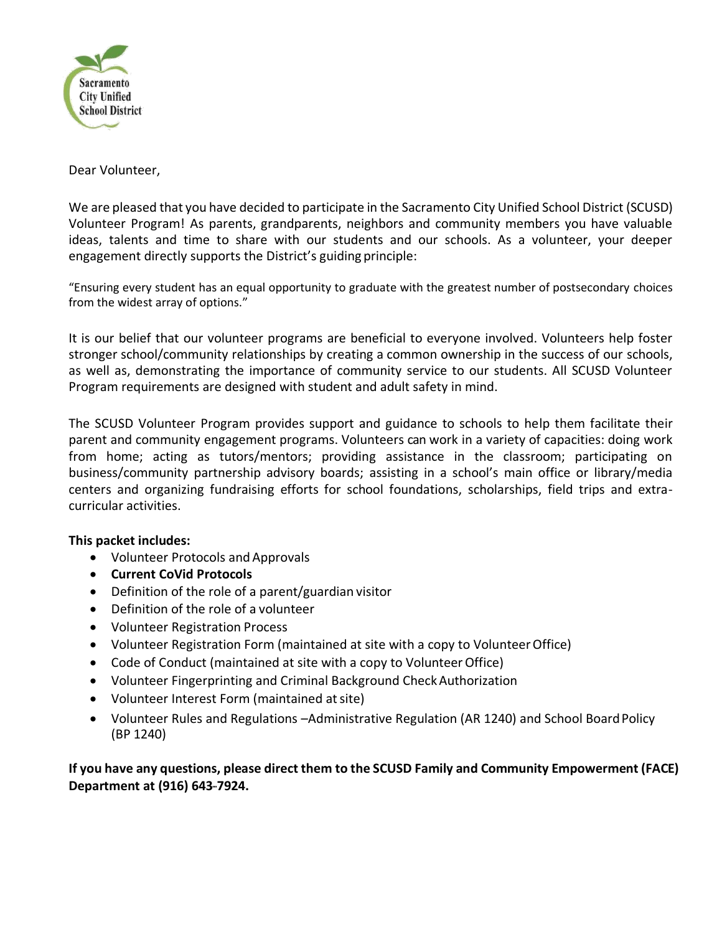

### Dear Volunteer,

We are pleased that you have decided to participate in the Sacramento City Unified School District (SCUSD) Volunteer Program! As parents, grandparents, neighbors and community members you have valuable ideas, talents and time to share with our students and our schools. As a volunteer, your deeper engagement directly supports the District's guiding principle:

"Ensuring every student has an equal opportunity to graduate with the greatest number of postsecondary choices from the widest array of options."

It is our belief that our volunteer programs are beneficial to everyone involved. Volunteers help foster stronger school/community relationships by creating a common ownership in the success of our schools, as well as, demonstrating the importance of community service to our students. All SCUSD Volunteer Program requirements are designed with student and adult safety in mind.

The SCUSD Volunteer Program provides support and guidance to schools to help them facilitate their parent and community engagement programs. Volunteers can work in a variety of capacities: doing work from home; acting as tutors/mentors; providing assistance in the classroom; participating on business/community partnership advisory boards; assisting in a school's main office or library/media centers and organizing fundraising efforts for school foundations, scholarships, field trips and extracurricular activities.

# **This packet includes:**

- Volunteer Protocols and Approvals
- **Current CoVid Protocols**
- Definition of the role of a parent/guardian visitor
- Definition of the role of a volunteer
- Volunteer Registration Process
- Volunteer Registration Form (maintained at site with a copy to VolunteerOffice)
- Code of Conduct (maintained at site with a copy to Volunteer Office)
- Volunteer Fingerprinting and Criminal Background CheckAuthorization
- Volunteer Interest Form (maintained atsite)
- Volunteer Rules and Regulations –Administrative Regulation (AR 1240) and School BoardPolicy (BP 1240)

**If you have any questions, please direct them to the SCUSD Family and Community Empowerment (FACE) Department at (916) 643-7924.**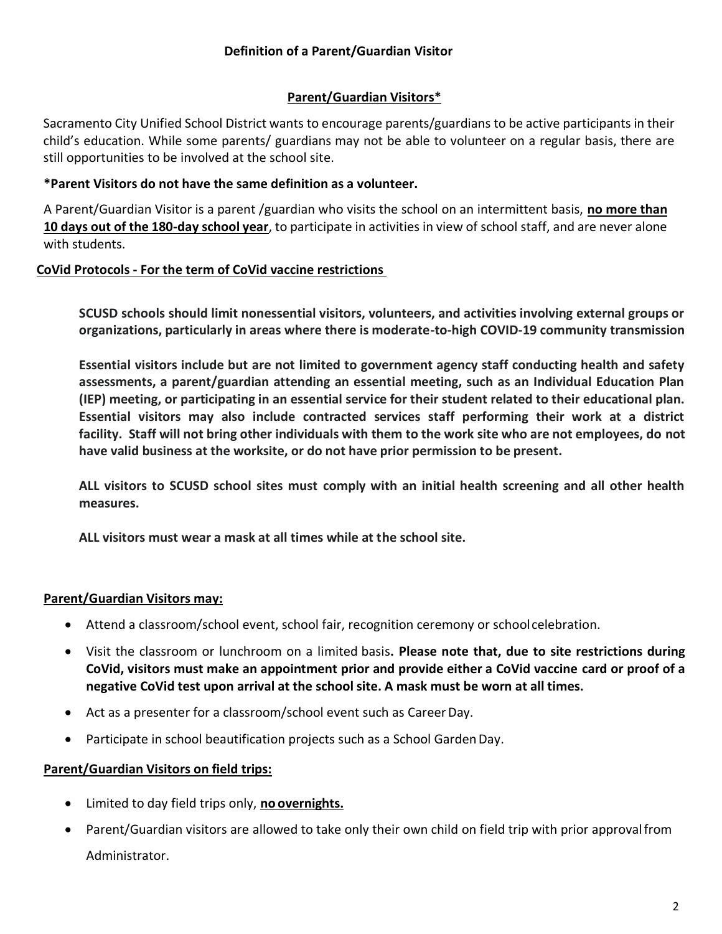# **Definition of a Parent/Guardian Visitor**

# **Parent/Guardian Visitors\***

Sacramento City Unified School District wants to encourage parents/guardians to be active participants in their child's education. While some parents/ guardians may not be able to volunteer on a regular basis, there are still opportunities to be involved at the school site.

### **\*Parent Visitors do not have the same definition as a volunteer.**

A Parent/Guardian Visitor is a parent /guardian who visits the school on an intermittent basis, **no more than 10 days out of the 180-day school year**, to participate in activities in view of school staff, and are never alone with students.

# **CoVid Protocols - For the term of CoVid vaccine restrictions**

**SCUSD schools should limit nonessential visitors, volunteers, and activities involving external groups or organizations, particularly in areas where there is moderate-to-high COVID-19 community transmission**

**Essential visitors include but are not limited to government agency staff conducting health and safety assessments, a parent/guardian attending an essential meeting, such as an Individual Education Plan (IEP) meeting, or participating in an essential service for their student related to their educational plan. Essential visitors may also include contracted services staff performing their work at a district facility. Staff will not bring other individuals with them to the work site who are not employees, do not have valid business at the worksite, or do not have prior permission to be present.**

**ALL visitors to SCUSD school sites must comply with an initial health screening and all other health measures.**

**ALL visitors must wear a mask at all times while at the school site.**

### **Parent/Guardian Visitors may:**

- Attend a classroom/school event, school fair, recognition ceremony or schoolcelebration.
- Visit the classroom or lunchroom on a limited basis**. Please note that, due to site restrictions during CoVid, visitors must make an appointment prior and provide either a CoVid vaccine card or proof of a negative CoVid test upon arrival at the school site. A mask must be worn at all times.**
- Act as a presenter for a classroom/school event such as Career Day.
- Participate in school beautification projects such as a School GardenDay.

### **Parent/Guardian Visitors on field trips:**

- Limited to day field trips only, **no overnights.**
- Parent/Guardian visitors are allowed to take only their own child on field trip with prior approvalfrom Administrator.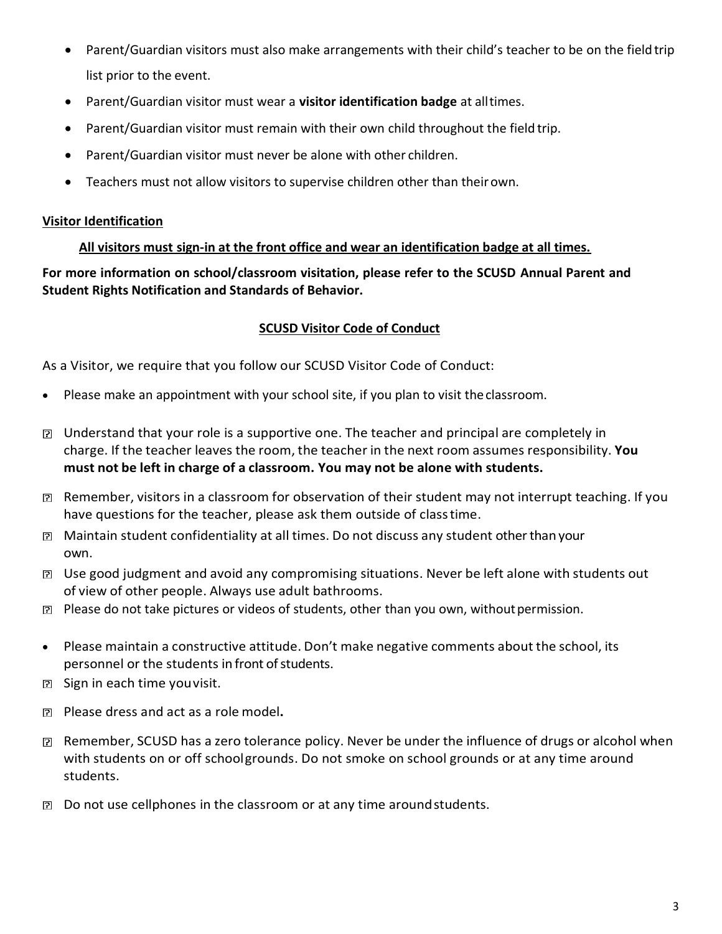- Parent/Guardian visitors must also make arrangements with their child's teacher to be on the field trip list prior to the event.
- Parent/Guardian visitor must wear a **visitor identification badge** at alltimes.
- Parent/Guardian visitor must remain with their own child throughout the field trip.
- Parent/Guardian visitor must never be alone with other children.
- Teachers must not allow visitors to supervise children other than theirown.

# **Visitor Identification**

**All visitors must sign-in at the front office and wear an identification badge at all times.**

**For more information on school/classroom visitation, please refer to the SCUSD Annual Parent and Student Rights Notification and Standards of Behavior.**

# **SCUSD Visitor Code of Conduct**

As a Visitor, we require that you follow our SCUSD Visitor Code of Conduct:

- Please make an appointment with your school site, if you plan to visit theclassroom.
- Understand that your role is a supportive one. The teacher and principal are completely in charge. If the teacher leaves the room, the teacher in the next room assumes responsibility. **You must not be left in charge of a classroom. You may not be alone with students.**
- $\boxtimes$  Remember, visitors in a classroom for observation of their student may not interrupt teaching. If you have questions for the teacher, please ask them outside of classtime.
- Maintain student confidentiality at all times. Do not discuss any student otherthan your own.
- Use good judgment and avoid any compromising situations. Never be left alone with students out of view of other people. Always use adult bathrooms.
- **■** Please do not take pictures or videos of students, other than you own, without permission.
- Please maintain a constructive attitude. Don't make negative comments about the school, its personnel or the students in front of students.
- B Sign in each time you visit.
- Please dress and act as a role model**.**
- Remember, SCUSD has a zero tolerance policy. Never be under the influence of drugs or alcohol when with students on or off schoolgrounds. Do not smoke on school grounds or at any time around students.
- $\boxtimes$  Do not use cellphones in the classroom or at any time around students.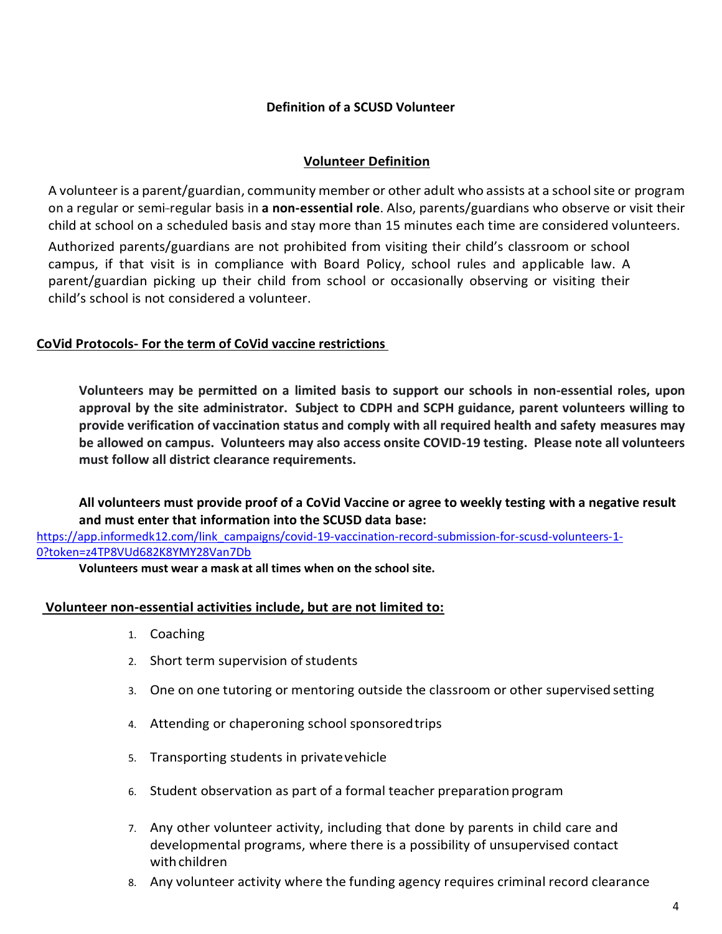# **Definition of a SCUSD Volunteer**

# **Volunteer Definition**

A volunteer is a parent/guardian, community member or other adult who assists at a school site or program on a regular or semi-regular basis in a non-essential role. Also, parents/guardians who observe or visit their child at school on a scheduled basis and stay more than 15 minutes each time are considered volunteers.

Authorized parents/guardians are not prohibited from visiting their child's classroom or school campus, if that visit is in compliance with Board Policy, school rules and applicable law. A parent/guardian picking up their child from school or occasionally observing or visiting their child's school is not considered a volunteer.

# **CoVid Protocols- For the term of CoVid vaccine restrictions**

**Volunteers may be permitted on a limited basis to support our schools in non-essential roles, upon approval by the site administrator. Subject to CDPH and SCPH guidance, parent volunteers willing to provide verification of vaccination status and comply with all required health and safety measures may be allowed on campus. Volunteers may also access onsite COVID-19 testing. Please note all volunteers must follow all district clearance requirements.**

# **All volunteers must provide proof of a CoVid Vaccine or agree to weekly testing with a negative result and must enter that information into the SCUSD data base:**

[https://app.informedk12.com/link\\_campaigns/covid-19-vaccination-record-submission-for-scusd-volunteers-1-](https://app.informedk12.com/link_campaigns/covid-19-vaccination-record-submission-for-scusd-volunteers-1-0?token=z4TP8VUd682K8YMY28Van7Db) [0?token=z4TP8VUd682K8YMY28Van7Db](https://app.informedk12.com/link_campaigns/covid-19-vaccination-record-submission-for-scusd-volunteers-1-0?token=z4TP8VUd682K8YMY28Van7Db)

**Volunteers must wear a mask at all times when on the school site.**

### **Volunteer non-essential activities include, but are not limited to:**

- 1. Coaching
- 2. Short term supervision of students
- 3. One on one tutoring or mentoring outside the classroom or other supervised setting
- 4. Attending or chaperoning school sponsoredtrips
- 5. Transporting students in privatevehicle
- 6. Student observation as part of a formal teacher preparation program
- 7. Any other volunteer activity, including that done by parents in child care and developmental programs, where there is a possibility of unsupervised contact with children
- 8. Any volunteer activity where the funding agency requires criminal record clearance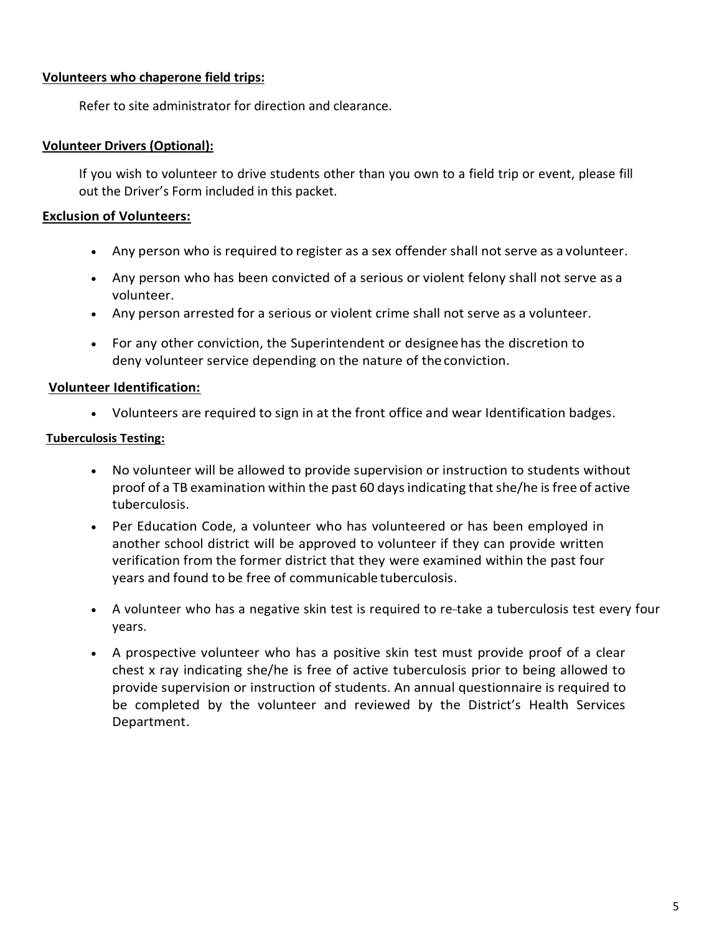# **Volunteers who chaperone field trips:**

Refer to site administrator for direction and clearance.

### **Volunteer Drivers (Optional):**

If you wish to volunteer to drive students other than you own to a field trip or event, please fill out the Driver's Form included in this packet.

### **Exclusion of Volunteers:**

- Any person who is required to register as a sex offender shall not serve as a volunteer.
- Any person who has been convicted of a serious or violent felony shall not serve as a volunteer.
- Any person arrested for a serious or violent crime shall not serve as a volunteer.
- For any other conviction, the Superintendent or designeehas the discretion to deny volunteer service depending on the nature of the conviction.

### **Volunteer Identification:**

• Volunteers are required to sign in at the front office and wear Identification badges.

### **Tuberculosis Testing:**

- No volunteer will be allowed to provide supervision or instruction to students without proof of a TB examination within the past 60 days indicating that she/he is free of active tuberculosis.
- Per Education Code, a volunteer who has volunteered or has been employed in another school district will be approved to volunteer if they can provide written verification from the former district that they were examined within the past four years and found to be free of communicable tuberculosis.
- A volunteer who has a negative skin test is required to re-take a tuberculosis test every four years.
- A prospective volunteer who has a positive skin test must provide proof of a clear chest x ray indicating she/he is free of active tuberculosis prior to being allowed to provide supervision or instruction of students. An annual questionnaire is required to be completed by the volunteer and reviewed by the District's Health Services Department.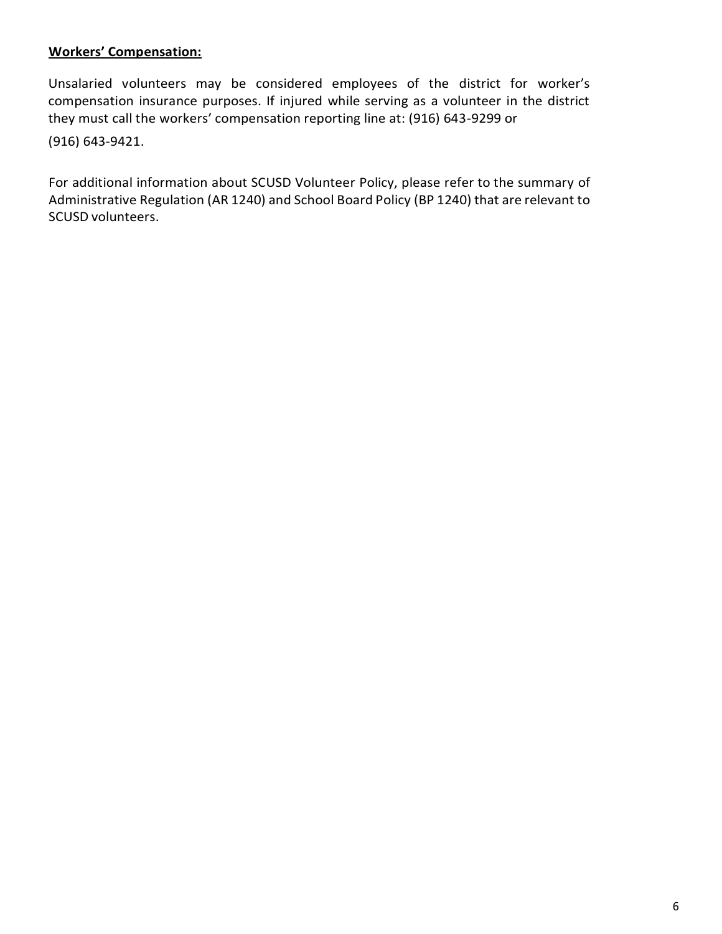# **Workers' Compensation:**

Unsalaried volunteers may be considered employees of the district for worker's compensation insurance purposes. If injured while serving as a volunteer in the district they must call the workers' compensation reporting line at: (916) 643-9299 or

(916) 643-9421.

For additional information about SCUSD Volunteer Policy, please refer to the summary of Administrative Regulation (AR 1240) and School Board Policy (BP 1240) that are relevant to SCUSD volunteers.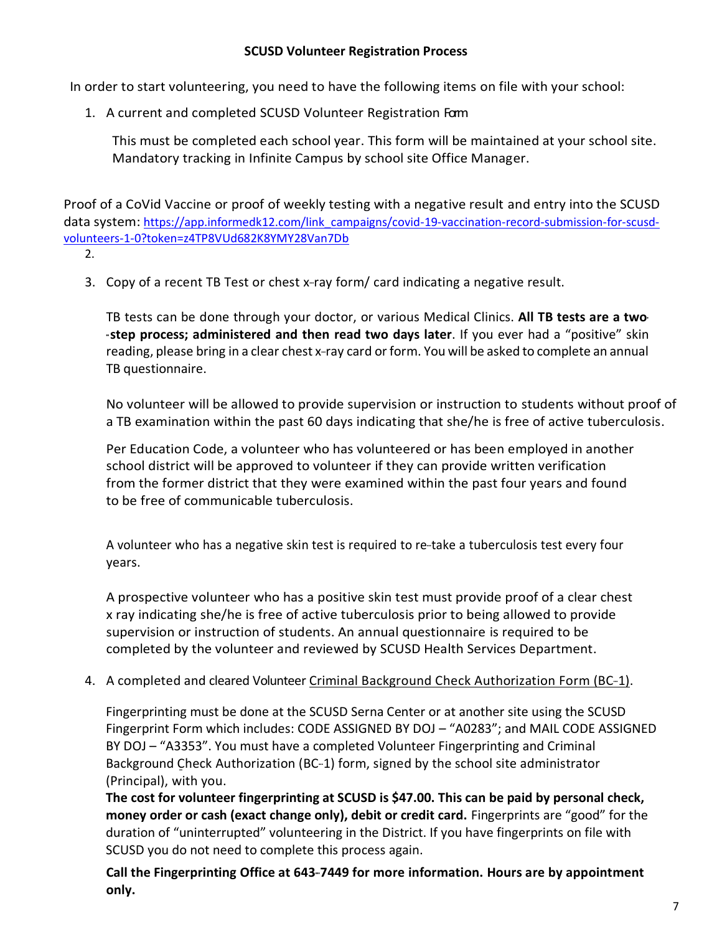# **SCUSD Volunteer Registration Process**

In order to start volunteering, you need to have the following items on file with your school:

1. A current and completed SCUSD Volunteer Registration Form

This must be completed each school year. This form will be maintained at your school site. Mandatory tracking in Infinite Campus by school site Office Manager.

Proof of a CoVid Vaccine or proof of weekly testing with a negative result and entry into the SCUSD data system: [https://app.informedk12.com/link\\_campaigns/covid-19-vaccination-record-submission-for-scusd](https://app.informedk12.com/link_campaigns/covid-19-vaccination-record-submission-for-scusd-volunteers-1-0?token=z4TP8VUd682K8YMY28Van7Db)[volunteers-1-0?token=z4TP8VUd682K8YMY28Van7Db](https://app.informedk12.com/link_campaigns/covid-19-vaccination-record-submission-for-scusd-volunteers-1-0?token=z4TP8VUd682K8YMY28Van7Db)

- 2.
- 3. Copy of a recent TB Test or chest  $x$ -ray form/card indicating a negative result.

TB tests can be done through your doctor, or various Medical Clinics. **All TB tests are a two- --step process; administered and then read two days later**. If you ever had a "positive" skin reading, please bring in a clear chest x-ray card or form. You will be asked to complete an annual TB questionnaire.

No volunteer will be allowed to provide supervision or instruction to students without proof of a TB examination within the past 60 days indicating that she/he is free of active tuberculosis.

Per Education Code, a volunteer who has volunteered or has been employed in another school district will be approved to volunteer if they can provide written verification from the former district that they were examined within the past four years and found to be free of communicable tuberculosis.

A volunteer who has a negative skin test is required to re-take a tuberculosis test every four years.

A prospective volunteer who has a positive skin test must provide proof of a clear chest x ray indicating she/he is free of active tuberculosis prior to being allowed to provide supervision or instruction of students. An annual questionnaire is required to be completed by the volunteer and reviewed by SCUSD Health Services Department.

4. A completed and cleared Volunteer Criminal Background Check Authorization Form (BC-1).

Fingerprinting must be done at the SCUSD Serna Center or at another site using the SCUSD Fingerprint Form which includes: CODE ASSIGNED BY DOJ – "A0283"; and MAIL CODE ASSIGNED BY DOJ – "A3353". You must have a completed Volunteer Fingerprinting and Criminal Background Check Authorization (BC-1) form, signed by the school site administrator (Principal), with you.

**The cost for volunteer fingerprinting at SCUSD is \$47.00. This can be paid by personal check, money order or cash (exact change only), debit or credit card.** Fingerprints are "good" for the duration of "uninterrupted" volunteering in the District. If you have fingerprints on file with SCUSD you do not need to complete this process again.

**Call the Fingerprinting Office at 643-7449 for more information. Hours are by appointment only.**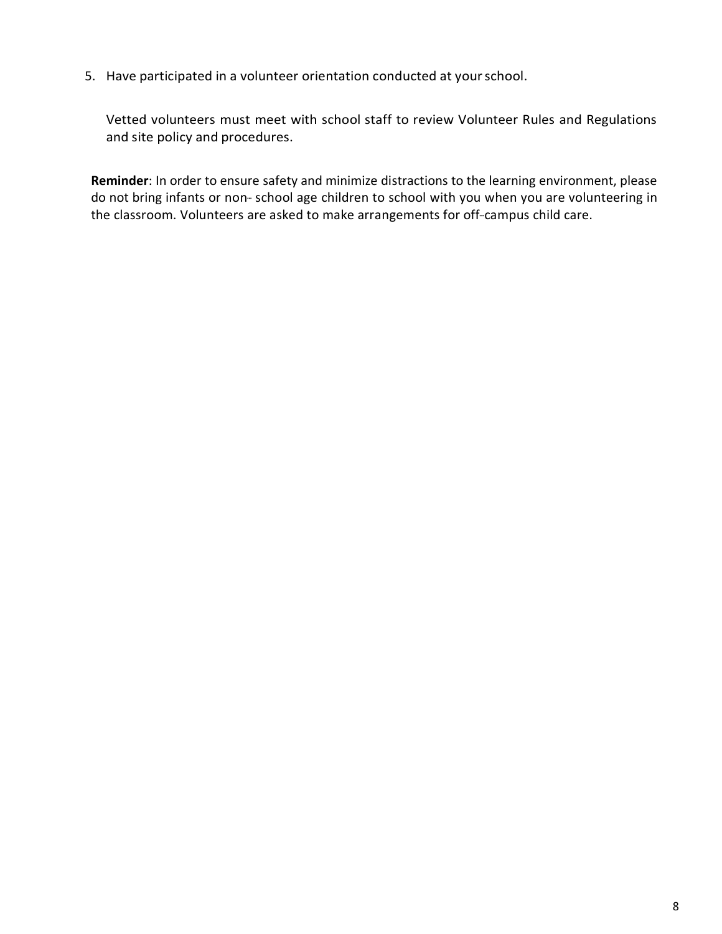5. Have participated in a volunteer orientation conducted at yourschool.

Vetted volunteers must meet with school staff to review Volunteer Rules and Regulations and site policy and procedures.

**Reminder**: In order to ensure safety and minimize distractions to the learning environment, please do not bring infants or non-school age children to school with you when you are volunteering in the classroom. Volunteers are asked to make arrangements for off-campus child care.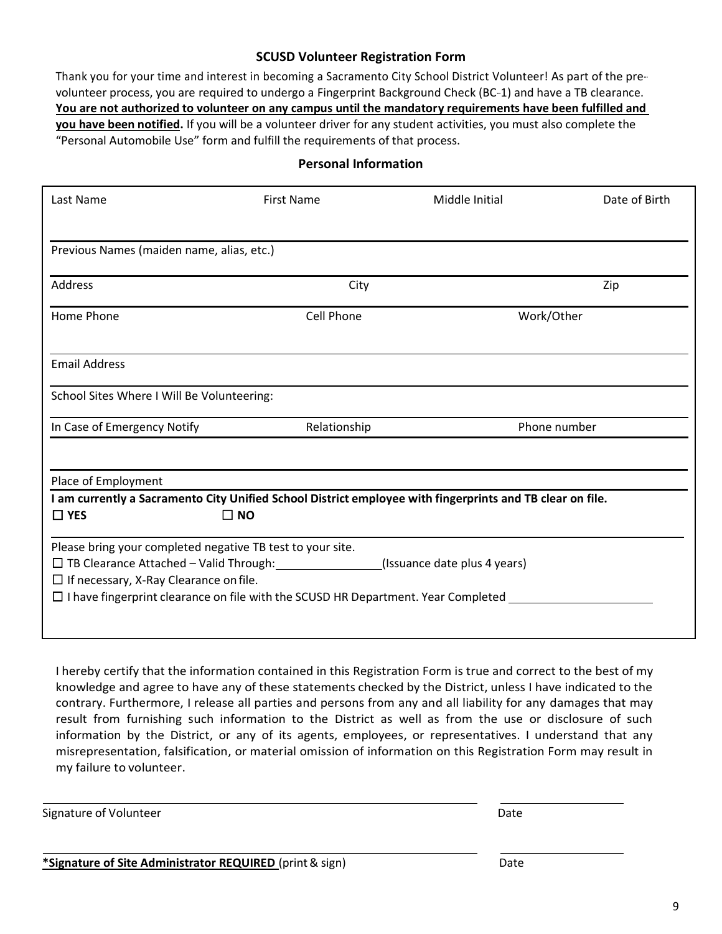### **SCUSD Volunteer Registration Form**

Thank you for your time and interest in becoming a Sacramento City School District Volunteer! As part of the prevolunteer process, you are required to undergo a Fingerprint Background Check (BC-1) and have a TB clearance. **You are not authorized to volunteer on any campus until the mandatory requirements have been fulfilled and you have been notified.** If you will be a volunteer driver for any student activities, you must also complete the "Personal Automobile Use" form and fulfill the requirements of that process.

### **Personal Information**

| Last Name                                                                                | <b>First Name</b> | Middle Initial                                                                                            | Date of Birth |  |
|------------------------------------------------------------------------------------------|-------------------|-----------------------------------------------------------------------------------------------------------|---------------|--|
|                                                                                          |                   |                                                                                                           |               |  |
| Previous Names (maiden name, alias, etc.)                                                |                   |                                                                                                           |               |  |
| Address                                                                                  | City              |                                                                                                           | Zip           |  |
| Home Phone                                                                               | Cell Phone        | Work/Other                                                                                                |               |  |
| <b>Email Address</b>                                                                     |                   |                                                                                                           |               |  |
| School Sites Where I Will Be Volunteering:                                               |                   |                                                                                                           |               |  |
| In Case of Emergency Notify                                                              | Relationship      |                                                                                                           | Phone number  |  |
| Place of Employment                                                                      |                   |                                                                                                           |               |  |
|                                                                                          |                   | I am currently a Sacramento City Unified School District employee with fingerprints and TB clear on file. |               |  |
| $\Box$ YES                                                                               | $\Box$ NO         |                                                                                                           |               |  |
| Please bring your completed negative TB test to your site.                               |                   |                                                                                                           |               |  |
| □ TB Clearance Attached - Valid Through: 1988                                            |                   | (Issuance date plus 4 years)                                                                              |               |  |
| $\Box$ If necessary, X-Ray Clearance on file.                                            |                   |                                                                                                           |               |  |
| $\Box$ I have fingerprint clearance on file with the SCUSD HR Department. Year Completed |                   |                                                                                                           |               |  |
|                                                                                          |                   |                                                                                                           |               |  |

I hereby certify that the information contained in this Registration Form is true and correct to the best of my knowledge and agree to have any of these statements checked by the District, unless I have indicated to the contrary. Furthermore, I release all parties and persons from any and all liability for any damages that may result from furnishing such information to the District as well as from the use or disclosure of such information by the District, or any of its agents, employees, or representatives. I understand that any misrepresentation, falsification, or material omission of information on this Registration Form may result in my failure to volunteer.

Signature of Volunteer Date and Signature of Volunteer Date and Date and Date and Date Date and Date Date and Date Date and Date and Date and Date and Date and Date and Date and Date and Date and Date and Date and Date and

**\*Signature of Site Administrator REQUIRED** (print & sign) Date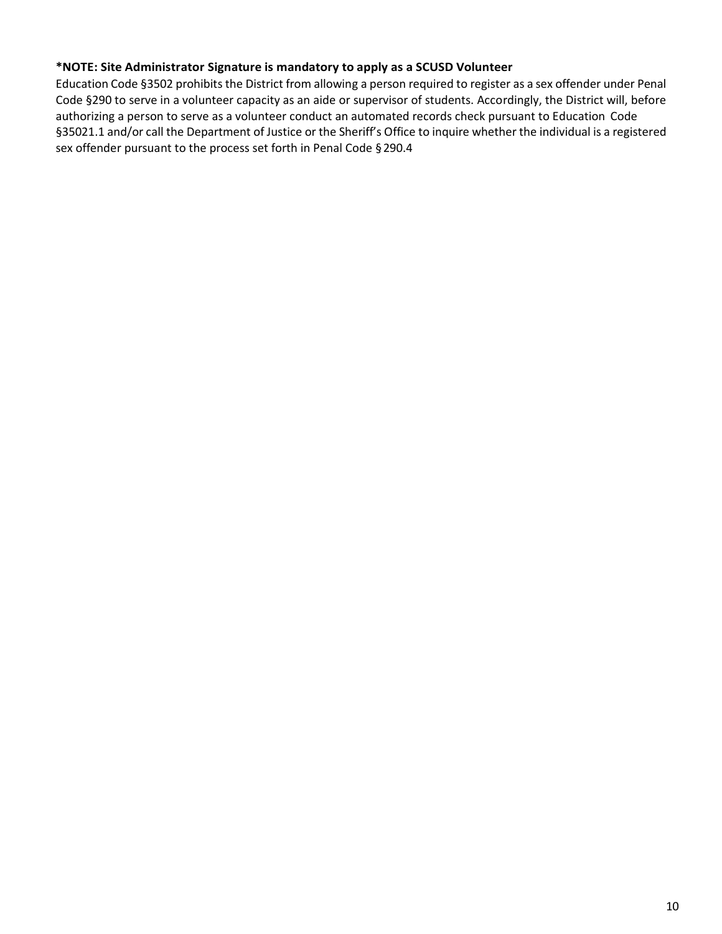### **\*NOTE: Site Administrator Signature is mandatory to apply as a SCUSD Volunteer**

Education Code §3502 prohibits the District from allowing a person required to register as a sex offender under Penal Code §290 to serve in a volunteer capacity as an aide or supervisor of students. Accordingly, the District will, before authorizing a person to serve as a volunteer conduct an automated records check pursuant to Education Code §35021.1 and/or call the Department of Justice or the Sheriff's Office to inquire whether the individual is a registered sex offender pursuant to the process set forth in Penal Code §290.4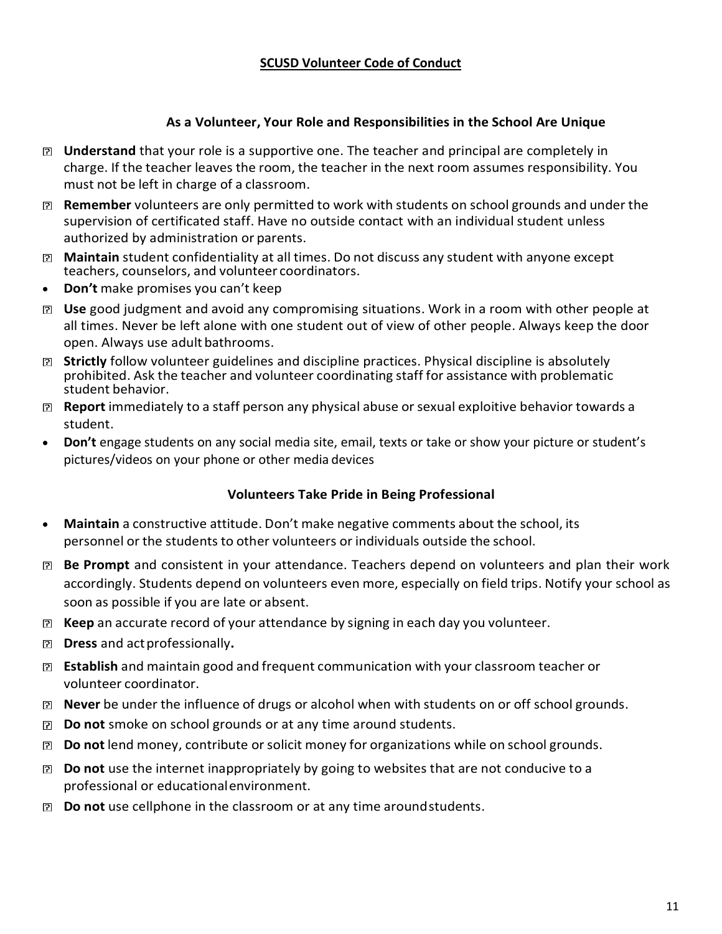# **SCUSD Volunteer Code of Conduct**

## **As a Volunteer, Your Role and Responsibilities in the School Are Unique**

- **Understand** that your role is a supportive one. The teacher and principal are completely in charge. If the teacher leaves the room, the teacher in the next room assumes responsibility. You must not be left in charge of a classroom.
- **Remember** volunteers are only permitted to work with students on school grounds and under the supervision of certificated staff. Have no outside contact with an individual student unless authorized by administration or parents.
- **Maintain** student confidentiality at all times. Do not discuss any student with anyone except teachers, counselors, and volunteer coordinators.
- **Don't** make promises you can't keep
- **Use** good judgment and avoid any compromising situations. Work in a room with other people at all times. Never be left alone with one student out of view of other people. Always keep the door open. Always use adult bathrooms.
- **Strictly** follow volunteer guidelines and discipline practices. Physical discipline is absolutely prohibited. Ask the teacher and volunteer coordinating staff for assistance with problematic student behavior.
- **Report** immediately to a staff person any physical abuse or sexual exploitive behavior towards a student.
- **Don't** engage students on any social media site, email, texts or take or show your picture or student's pictures/videos on your phone or other media devices

### **Volunteers Take Pride in Being Professional**

- **Maintain** a constructive attitude. Don't make negative comments about the school, its personnel or the students to other volunteers or individuals outside the school.
- **Be Prompt** and consistent in your attendance. Teachers depend on volunteers and plan their work accordingly. Students depend on volunteers even more, especially on field trips. Notify your school as soon as possible if you are late or absent.
- **Keep** an accurate record of your attendance by signing in each day you volunteer.
- **Dress** and actprofessionally**.**
- **Establish** and maintain good and frequent communication with your classroom teacher or volunteer coordinator.
- **Never** be under the influence of drugs or alcohol when with students on or off school grounds.
- **Do not** smoke on school grounds or at any time around students.
- **Do not** lend money, contribute orsolicit money for organizations while on school grounds.
- **Do not** use the internet inappropriately by going to websites that are not conducive to a professional or educationalenvironment.
- **Do not** use cellphone in the classroom or at any time aroundstudents.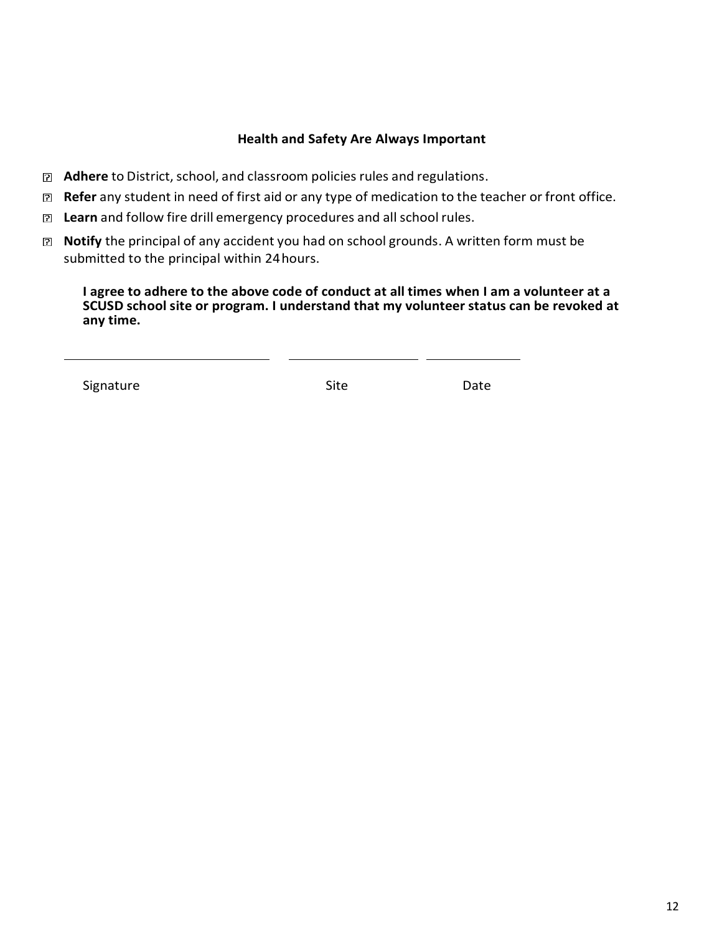### **Health and Safety Are Always Important**

- **Adhere** to District, school, and classroom policies rules and regulations.
- **Refer** any student in need of first aid or any type of medication to the teacher or front office.
- **Z Learn** and follow fire drill emergency procedures and all school rules.
- **Notify** the principal of any accident you had on school grounds. A written form must be submitted to the principal within 24hours.

**I agree to adhere to the above code of conduct at all times when I am a volunteer at a SCUSD school site or program. I understand that my volunteer status can be revoked at any time.**

Signature **Signature** Date Site **Site** Date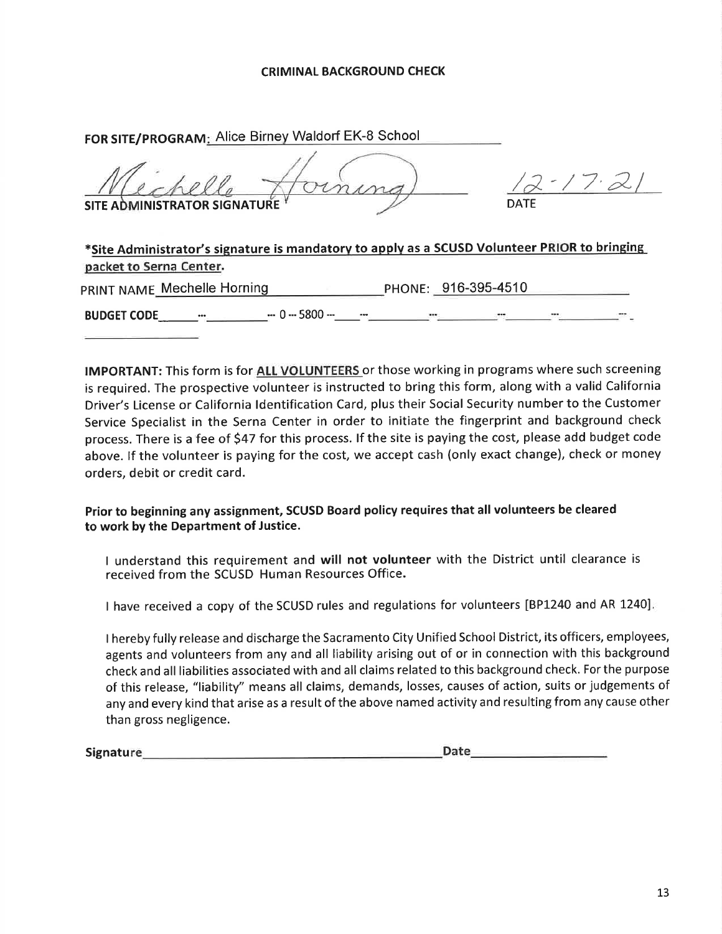#### **CRIMINAL BACKGROUND CHECK**

| FOR SITE/PROGRAM: Alice Birney Waldorf EK-8 School                                                                      |             |
|-------------------------------------------------------------------------------------------------------------------------|-------------|
| SITE ADMINISTRATOR SIGNATURE <sup>Y</sup>                                                                               | <b>DATE</b> |
| *Site Administrator's signature is mandatory to apply as a SCUSD Volunteer PRIOR to bringing<br>packet to Serna Center. |             |

**IMPORTANT:** This form is for ALL VOLUNTEERS or those working in programs where such screening is required. The prospective volunteer is instructed to bring this form, along with a valid California Driver's License or California Identification Card, plus their Social Security number to the Customer Service Specialist in the Serna Center in order to initiate the fingerprint and background check process. There is a fee of \$47 for this process. If the site is paying the cost, please add budget code above. If the volunteer is paying for the cost, we accept cash (only exact change), check or money orders, debit or credit card.

Prior to beginning any assignment, SCUSD Board policy requires that all volunteers be cleared to work by the Department of Justice.

I understand this requirement and will not volunteer with the District until clearance is received from the SCUSD Human Resources Office.

I have received a copy of the SCUSD rules and regulations for volunteers [BP1240 and AR 1240].

I hereby fully release and discharge the Sacramento City Unified School District, its officers, employees, agents and volunteers from any and all liability arising out of or in connection with this background check and all liabilities associated with and all claims related to this background check. For the purpose of this release, "liability" means all claims, demands, losses, causes of action, suits or judgements of any and every kind that arise as a result of the above named activity and resulting from any cause other than gross negligence.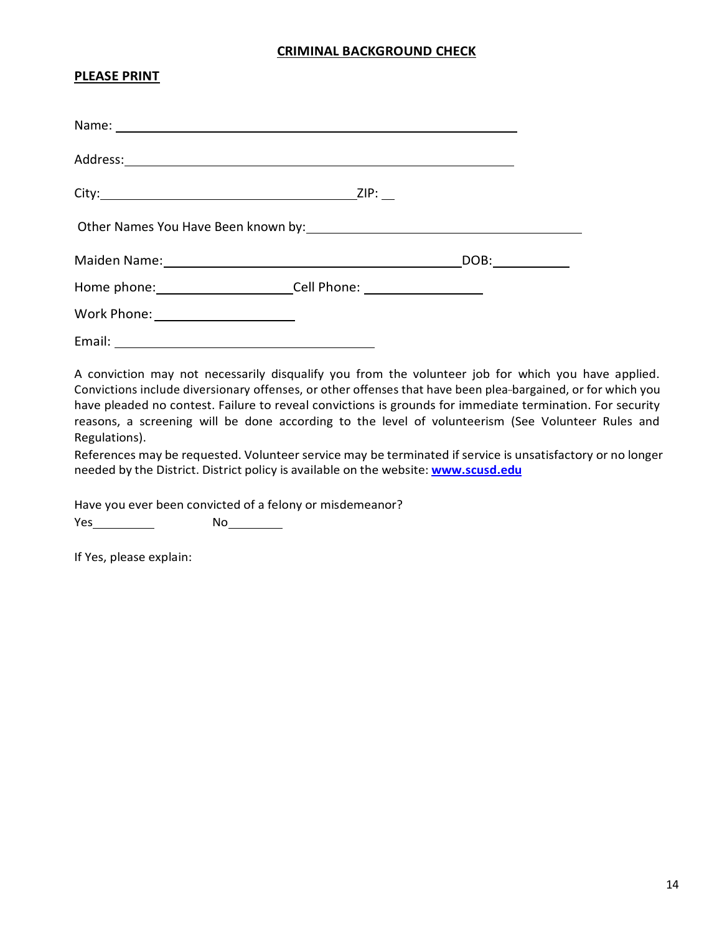### **CRIMINAL BACKGROUND CHECK**

#### **PLEASE PRINT**

| Other Names You Have Been known by: \\connection match match match match of the Names |      |
|---------------------------------------------------------------------------------------|------|
| Maiden Name: 1988 Maiden Name: 1988 Maiden Name: 1988 Maintenant March 1988 Main      | DOB: |
| Home phone: ___________________________Cell Phone: _____________________________      |      |
| Work Phone: ________________________                                                  |      |
|                                                                                       |      |

A conviction may not necessarily disqualify you from the volunteer job for which you have applied. Convictions include diversionary offenses, or other offenses that have been plea-bargained, or for which you have pleaded no contest. Failure to reveal convictions is grounds for immediate termination. For security reasons, a screening will be done according to the level of volunteerism (See Volunteer Rules and Regulations).

References may be requested. Volunteer service may be terminated if service is unsatisfactory or no longer needed by the District. District policy is available on the website: **[www.scusd.edu](http://www.scusd.edu/)**

Have you ever been convicted of a felony or misdemeanor?

Yes No

If Yes, please explain: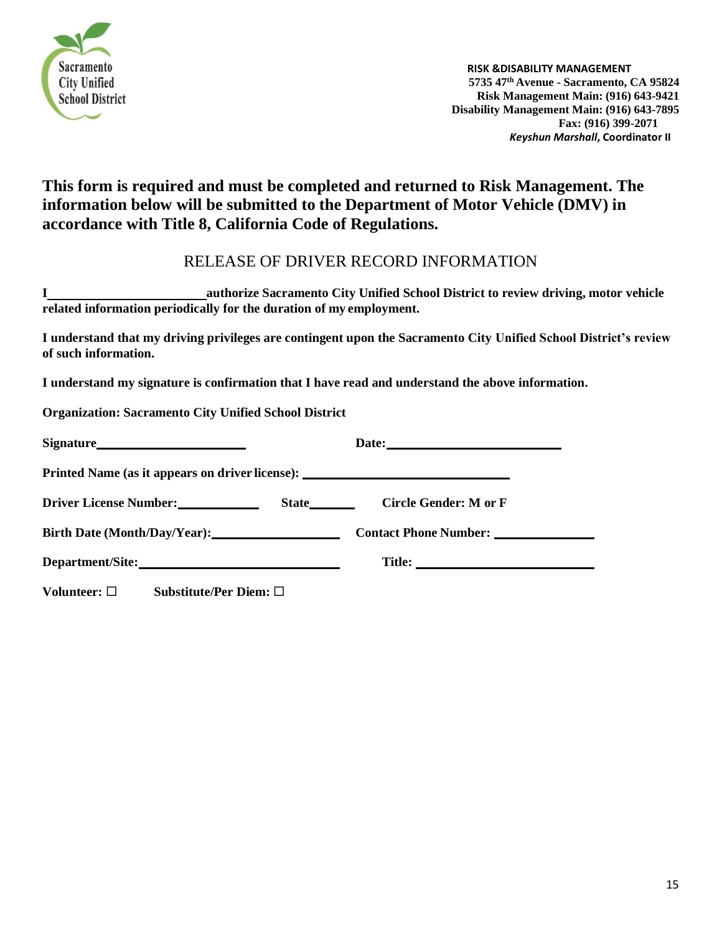

# **This form is required and must be completed and returned to Risk Management. The information below will be submitted to the Department of Motor Vehicle (DMV) in accordance with Title 8, California Code of Regulations.**

# RELEASE OF DRIVER RECORD INFORMATION

**I authorize Sacramento City Unified School District to review driving, motor vehicle related information periodically for the duration of my employment.**

**I understand that my driving privileges are contingent upon the Sacramento City Unified School District's review of such information.**

**I understand my signature is confirmation that I have read and understand the above information.** 

**Organization: Sacramento City Unified School District**

| Printed Name (as it appears on driver license): ________________________________ |                       |
|----------------------------------------------------------------------------------|-----------------------|
|                                                                                  | Circle Gender: M or F |
| Birth Date (Month/Day/Year): 2003                                                |                       |
|                                                                                  |                       |
| Substitute/Per Diem: $\square$<br>Volunteer: $\Box$                              |                       |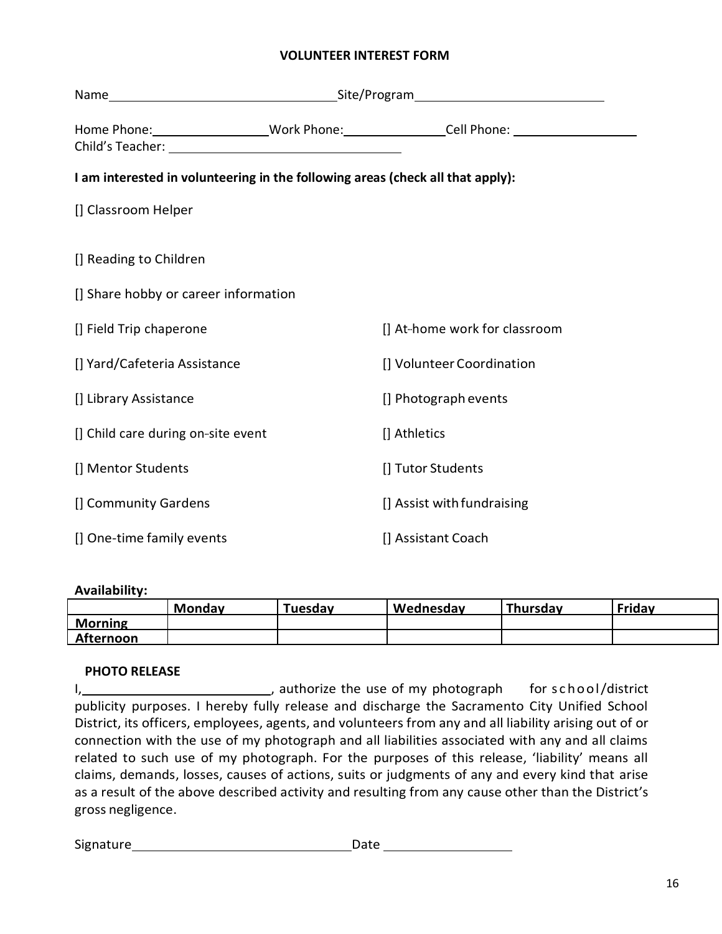### **VOLUNTEER INTEREST FORM**

|                                                                                |  | Home Phone: ____________________Work Phone: _________________Cell Phone: ___________________________ |
|--------------------------------------------------------------------------------|--|------------------------------------------------------------------------------------------------------|
| I am interested in volunteering in the following areas (check all that apply): |  |                                                                                                      |
| [] Classroom Helper                                                            |  |                                                                                                      |
| [] Reading to Children                                                         |  |                                                                                                      |
| [] Share hobby or career information                                           |  |                                                                                                      |
| [] Field Trip chaperone                                                        |  | [] At-home work for classroom                                                                        |
| [] Yard/Cafeteria Assistance                                                   |  | [] Volunteer Coordination                                                                            |
| [] Library Assistance                                                          |  | [] Photograph events                                                                                 |
| [] Child care during on-site event                                             |  | [] Athletics                                                                                         |
| [] Mentor Students                                                             |  | [] Tutor Students                                                                                    |
| [] Community Gardens                                                           |  | [] Assist with fundraising                                                                           |
| [] One-time family events                                                      |  | [] Assistant Coach                                                                                   |

#### **Availability:**

|                | <b>Monday</b> | Tuesdav | Wednesday | Thursday | Friday |
|----------------|---------------|---------|-----------|----------|--------|
| <b>Morning</b> |               |         |           |          |        |
| Afternoon      |               |         |           |          |        |

#### **PHOTO RELEASE**

I, 1, 1, 1, authorize the use of my photograph for school/district publicity purposes. I hereby fully release and discharge the Sacramento City Unified School District, its officers, employees, agents, and volunteers from any and all liability arising out of or connection with the use of my photograph and all liabilities associated with any and all claims related to such use of my photograph. For the purposes of this release, 'liability' means all claims, demands, losses, causes of actions, suits or judgments of any and every kind that arise as a result of the above described activity and resulting from any cause other than the District's gross negligence.

Signature Date Date Date